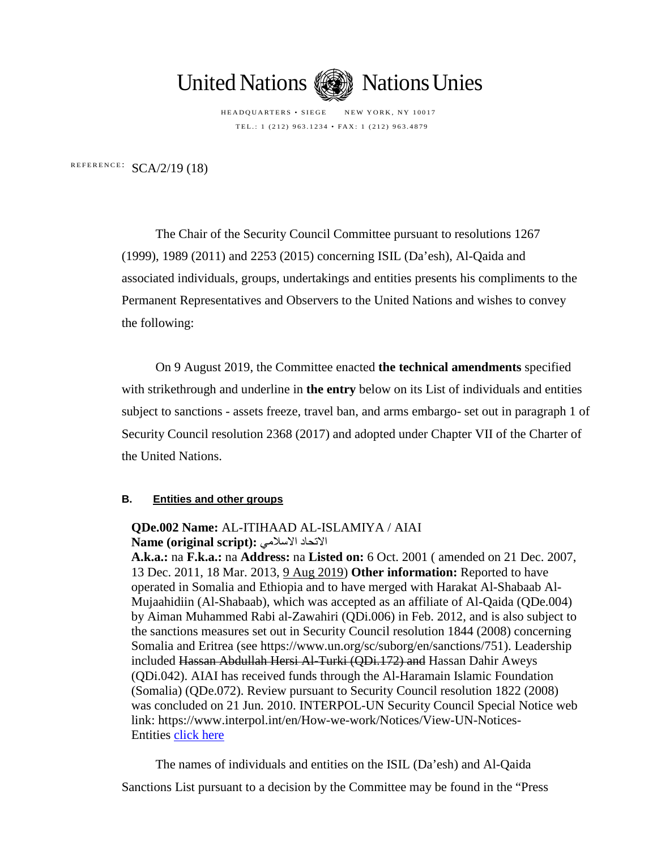

HEADQUARTERS • SIEGE NEW YORK, NY 10017 TEL.: 1 (212) 963.1234 • FAX: 1 (212) 963.4879

REFERENCE: SCA/2/19 (18)

The Chair of the Security Council Committee pursuant to resolutions 1267 (1999), 1989 (2011) and 2253 (2015) concerning ISIL (Da'esh), Al-Qaida and associated individuals, groups, undertakings and entities presents his compliments to the Permanent Representatives and Observers to the United Nations and wishes to convey the following:

On 9 August 2019, the Committee enacted **the technical amendments** specified with strikethrough and underline in **the entry** below on its List of individuals and entities subject to sanctions - assets freeze, travel ban, and arms embargo- set out in paragraph 1 of Security Council resolution 2368 (2017) and adopted under Chapter VII of the Charter of the United Nations.

## **B. Entities and other groups**

## **QDe.002 Name:** AL-ITIHAAD AL-ISLAMIYA / AIAI **Name (original script):** الاسلامي الاتحاد

**A.k.a.:** na **F.k.a.:** na **Address:** na **Listed on:** 6 Oct. 2001 ( amended on 21 Dec. 2007, 13 Dec. 2011, 18 Mar. 2013, 9 Aug 2019) **Other information:** Reported to have operated in Somalia and Ethiopia and to have merged with Harakat Al-Shabaab Al-Mujaahidiin (Al-Shabaab), which was accepted as an affiliate of Al-Qaida (QDe.004) by Aiman Muhammed Rabi al-Zawahiri (QDi.006) in Feb. 2012, and is also subject to the sanctions measures set out in Security Council resolution 1844 (2008) concerning Somalia and Eritrea (see https://www.un.org/sc/suborg/en/sanctions/751). Leadership included Hassan Abdullah Hersi Al-Turki (QDi.172) and Hassan Dahir Aweys (QDi.042). AIAI has received funds through the Al-Haramain Islamic Foundation (Somalia) (QDe.072). Review pursuant to Security Council resolution 1822 (2008) was concluded on 21 Jun. 2010. INTERPOL-UN Security Council Special Notice web link: https://www.interpol.int/en/How-we-work/Notices/View-UN-NoticesEntities [click here](https://www.interpol.int/en/How-we-work/Notices/View-UN-Notices-Entities)

The names of individuals and entities on the ISIL (Da'esh) and Al-Qaida

Sanctions List pursuant to a decision by the Committee may be found in the "Press